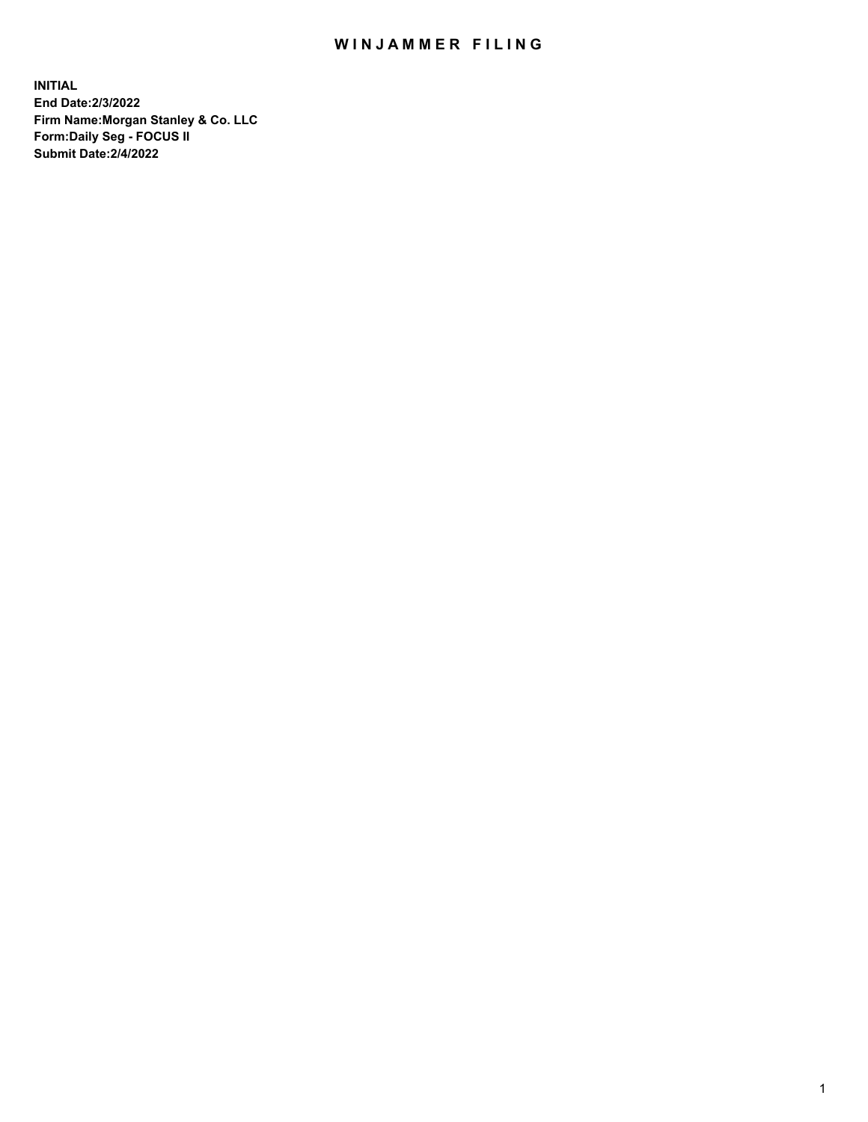## WIN JAMMER FILING

**INITIAL End Date:2/3/2022 Firm Name:Morgan Stanley & Co. LLC Form:Daily Seg - FOCUS II Submit Date:2/4/2022**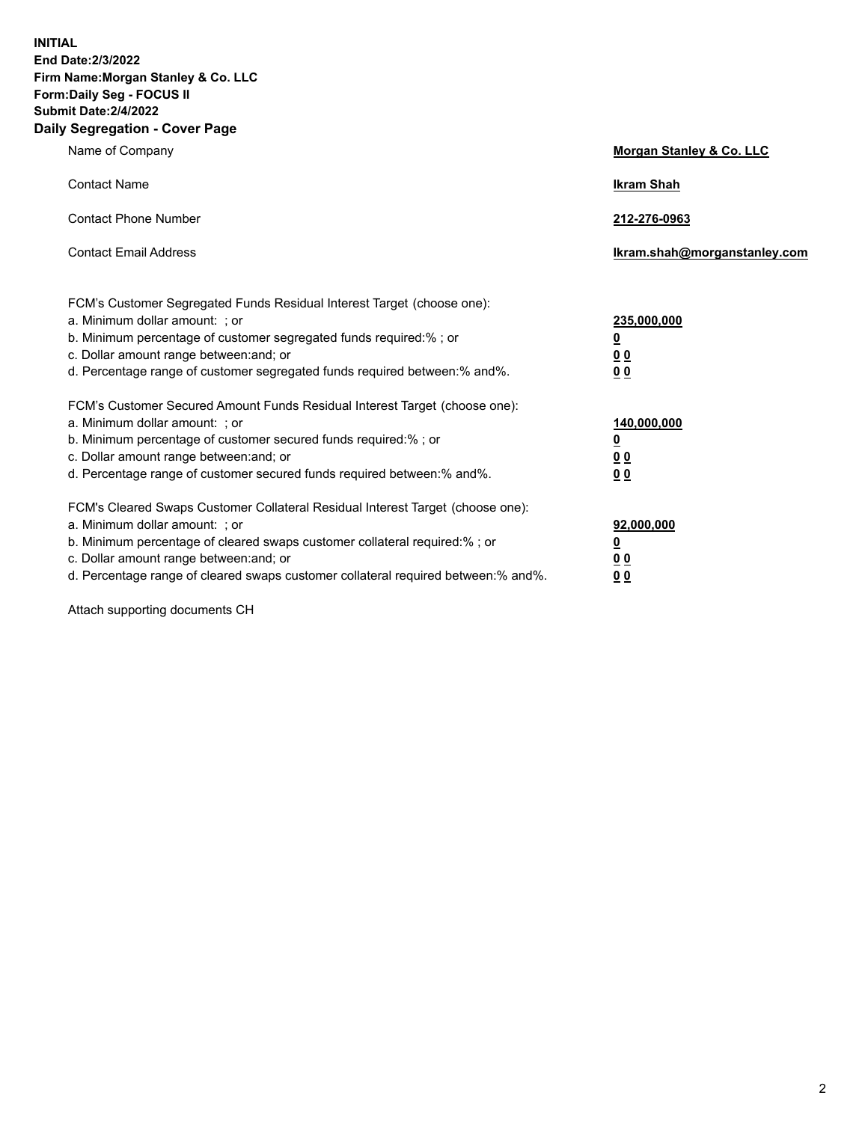**INITIAL End Date:2/3/2022 Firm Name:Morgan Stanley & Co. LLC Form:Daily Seg - FOCUS II Submit Date:2/4/2022 Daily Segregation - Cover Page**

| Name of Company                                                                                                                                                                                                                                                                                                               | Morgan Stanley & Co. LLC                                                     |
|-------------------------------------------------------------------------------------------------------------------------------------------------------------------------------------------------------------------------------------------------------------------------------------------------------------------------------|------------------------------------------------------------------------------|
| <b>Contact Name</b>                                                                                                                                                                                                                                                                                                           | <b>Ikram Shah</b>                                                            |
| <b>Contact Phone Number</b>                                                                                                                                                                                                                                                                                                   | 212-276-0963                                                                 |
| <b>Contact Email Address</b>                                                                                                                                                                                                                                                                                                  | Ikram.shah@morganstanley.com                                                 |
| FCM's Customer Segregated Funds Residual Interest Target (choose one):<br>a. Minimum dollar amount: ; or<br>b. Minimum percentage of customer segregated funds required:% ; or<br>c. Dollar amount range between: and; or<br>d. Percentage range of customer segregated funds required between: % and %.                      | 235,000,000<br><u>0</u><br><u>00</u><br>0 Q                                  |
| FCM's Customer Secured Amount Funds Residual Interest Target (choose one):<br>a. Minimum dollar amount: ; or<br>b. Minimum percentage of customer secured funds required:%; or<br>c. Dollar amount range between: and; or<br>d. Percentage range of customer secured funds required between:% and%.                           | 140,000,000<br><u>0</u><br>$\underline{0}$ $\underline{0}$<br>0 <sup>0</sup> |
| FCM's Cleared Swaps Customer Collateral Residual Interest Target (choose one):<br>a. Minimum dollar amount: ; or<br>b. Minimum percentage of cleared swaps customer collateral required:%; or<br>c. Dollar amount range between: and; or<br>d. Percentage range of cleared swaps customer collateral required between:% and%. | 92,000,000<br><u>0</u><br><u>00</u><br>00                                    |

Attach supporting documents CH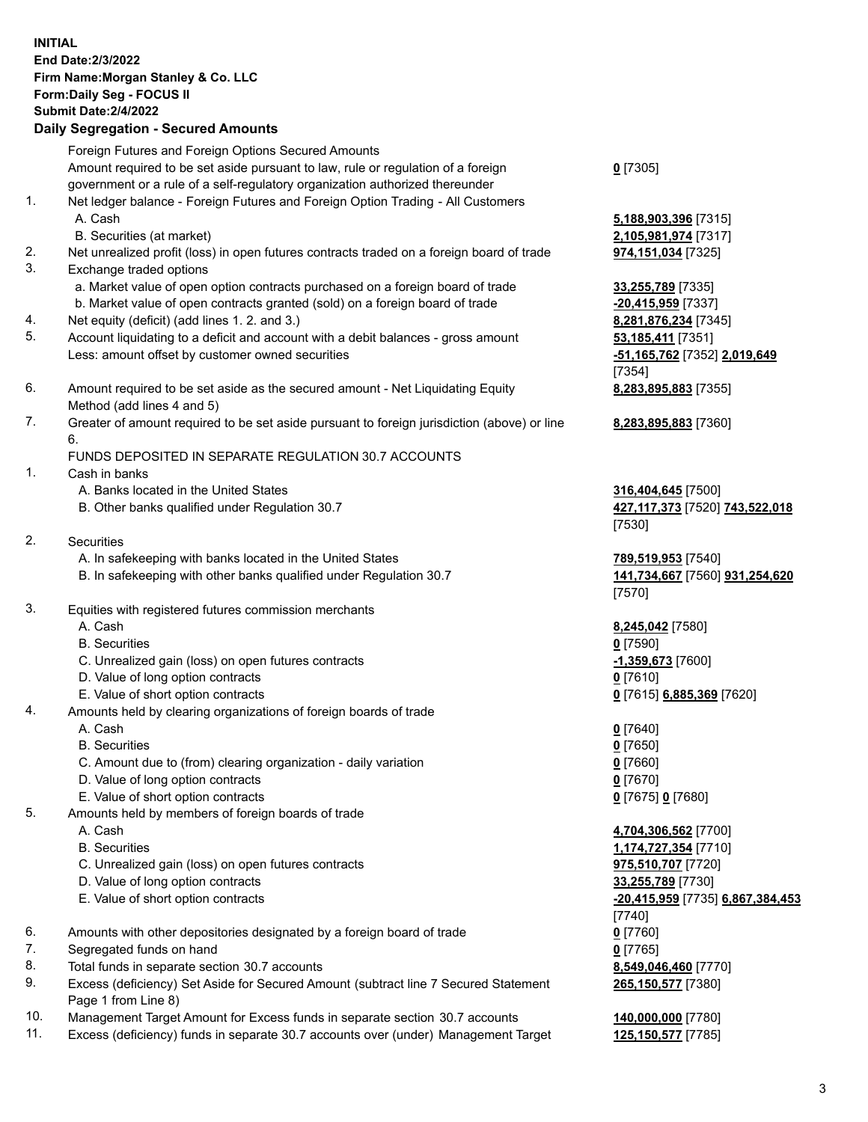|          | <b>INITIAL</b><br>End Date: 2/3/2022<br>Firm Name: Morgan Stanley & Co. LLC<br>Form: Daily Seg - FOCUS II<br><b>Submit Date: 2/4/2022</b><br><b>Daily Segregation - Secured Amounts</b> |                                                      |
|----------|-----------------------------------------------------------------------------------------------------------------------------------------------------------------------------------------|------------------------------------------------------|
|          | Foreign Futures and Foreign Options Secured Amounts                                                                                                                                     |                                                      |
|          | Amount required to be set aside pursuant to law, rule or regulation of a foreign                                                                                                        | $0$ [7305]                                           |
|          | government or a rule of a self-regulatory organization authorized thereunder                                                                                                            |                                                      |
| 1.       | Net ledger balance - Foreign Futures and Foreign Option Trading - All Customers<br>A. Cash                                                                                              | 5,188,903,396 [7315]                                 |
|          | B. Securities (at market)                                                                                                                                                               | 2,105,981,974 [7317]                                 |
| 2.       | Net unrealized profit (loss) in open futures contracts traded on a foreign board of trade                                                                                               | 974,151,034 [7325]                                   |
| 3.       | Exchange traded options                                                                                                                                                                 |                                                      |
|          | a. Market value of open option contracts purchased on a foreign board of trade                                                                                                          | 33,255,789 [7335]                                    |
|          | b. Market value of open contracts granted (sold) on a foreign board of trade                                                                                                            | $-20,415,959$ [7337]                                 |
| 4.<br>5. | Net equity (deficit) (add lines 1. 2. and 3.)                                                                                                                                           | 8,281,876,234 [7345]                                 |
|          | Account liquidating to a deficit and account with a debit balances - gross amount<br>Less: amount offset by customer owned securities                                                   | 53,185,411 [7351]<br>-51,165,762 [7352] 2,019,649    |
|          |                                                                                                                                                                                         | [7354]                                               |
| 6.       | Amount required to be set aside as the secured amount - Net Liquidating Equity                                                                                                          | 8,283,895,883 [7355]                                 |
|          | Method (add lines 4 and 5)                                                                                                                                                              |                                                      |
| 7.       | Greater of amount required to be set aside pursuant to foreign jurisdiction (above) or line                                                                                             | 8,283,895,883 [7360]                                 |
|          | 6.<br>FUNDS DEPOSITED IN SEPARATE REGULATION 30.7 ACCOUNTS                                                                                                                              |                                                      |
| 1.       | Cash in banks                                                                                                                                                                           |                                                      |
|          | A. Banks located in the United States                                                                                                                                                   | 316,404,645 [7500]                                   |
|          | B. Other banks qualified under Regulation 30.7                                                                                                                                          | 427,117,373 [7520] 743,522,018                       |
|          |                                                                                                                                                                                         | [7530]                                               |
| 2.       | Securities                                                                                                                                                                              |                                                      |
|          | A. In safekeeping with banks located in the United States<br>B. In safekeeping with other banks qualified under Regulation 30.7                                                         | 789,519,953 [7540]<br>141,734,667 [7560] 931,254,620 |
|          |                                                                                                                                                                                         | [7570]                                               |
| 3.       | Equities with registered futures commission merchants                                                                                                                                   |                                                      |
|          | A. Cash                                                                                                                                                                                 | 8,245,042 [7580]                                     |
|          | <b>B.</b> Securities                                                                                                                                                                    | $0$ [7590]                                           |
|          | C. Unrealized gain (loss) on open futures contracts<br>D. Value of long option contracts                                                                                                | -1,359,673 [7600]<br>$0$ [7610]                      |
|          | E. Value of short option contracts                                                                                                                                                      | 0 [7615] 6,885,369 [7620]                            |
| 4.       | Amounts held by clearing organizations of foreign boards of trade                                                                                                                       |                                                      |
|          | A. Cash                                                                                                                                                                                 | $0$ [7640]                                           |
|          | <b>B.</b> Securities                                                                                                                                                                    | $0$ [7650]                                           |
|          | C. Amount due to (from) clearing organization - daily variation                                                                                                                         | $0$ [7660]                                           |
|          | D. Value of long option contracts<br>E. Value of short option contracts                                                                                                                 | $0$ [7670]<br>0 [7675] 0 [7680]                      |
| 5.       | Amounts held by members of foreign boards of trade                                                                                                                                      |                                                      |
|          | A. Cash                                                                                                                                                                                 | 4,704,306,562 [7700]                                 |
|          | <b>B.</b> Securities                                                                                                                                                                    | 1,174,727,354 [7710]                                 |
|          | C. Unrealized gain (loss) on open futures contracts                                                                                                                                     | 975,510,707 [7720]                                   |
|          | D. Value of long option contracts                                                                                                                                                       | 33,255,789 [7730]                                    |
|          | E. Value of short option contracts                                                                                                                                                      | -20,415,959 [7735] 6,867,384,453<br>$[7740]$         |
| 6.       | Amounts with other depositories designated by a foreign board of trade                                                                                                                  | $0$ [7760]                                           |
| 7.       | Segregated funds on hand                                                                                                                                                                | $0$ [7765]                                           |
| 8.       | Total funds in separate section 30.7 accounts                                                                                                                                           | 8,549,046,460 [7770]                                 |
| 9.       | Excess (deficiency) Set Aside for Secured Amount (subtract line 7 Secured Statement                                                                                                     | 265,150,577 [7380]                                   |

Page 1 from Line 8) 10. Management Target Amount for Excess funds in separate section 30.7 accounts **140,000,000** [7780]

11. Excess (deficiency) funds in separate 30.7 accounts over (under) Management Target **125,150,577** [7785]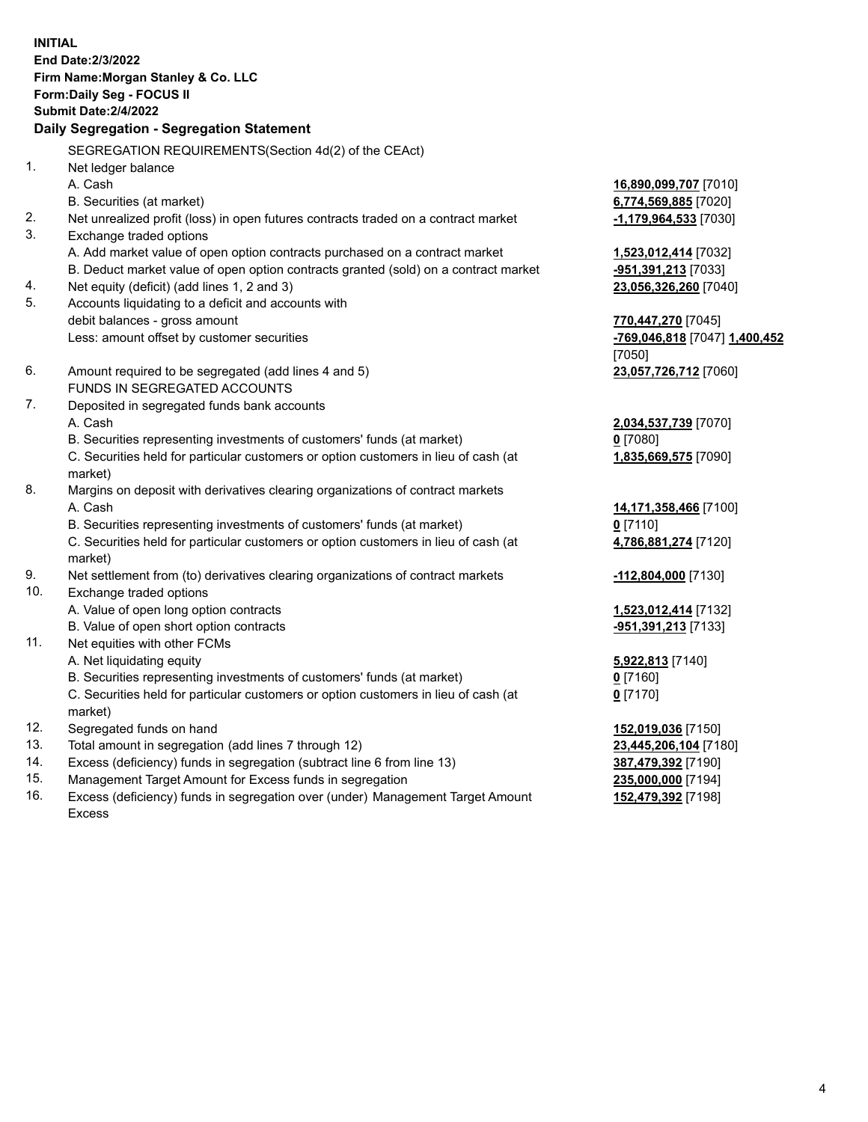**INITIAL End Date:2/3/2022 Firm Name:Morgan Stanley & Co. LLC Form:Daily Seg - FOCUS II Submit Date:2/4/2022 Daily Segregation - Segregation Statement** SEGREGATION REQUIREMENTS(Section 4d(2) of the CEAct) 1. Net ledger balance A. Cash **16,890,099,707** [7010] B. Securities (at market) **6,774,569,885** [7020] 2. Net unrealized profit (loss) in open futures contracts traded on a contract market **-1,179,964,533** [7030] 3. Exchange traded options A. Add market value of open option contracts purchased on a contract market **1,523,012,414** [7032] B. Deduct market value of open option contracts granted (sold) on a contract market **-951,391,213** [7033] 4. Net equity (deficit) (add lines 1, 2 and 3) **23,056,326,260** [7040] 5. Accounts liquidating to a deficit and accounts with debit balances - gross amount **770,447,270** [7045] Less: amount offset by customer securities **-769,046,818** [7047] **1,400,452** [7050] 6. Amount required to be segregated (add lines 4 and 5) **23,057,726,712** [7060] FUNDS IN SEGREGATED ACCOUNTS 7. Deposited in segregated funds bank accounts A. Cash **2,034,537,739** [7070] B. Securities representing investments of customers' funds (at market) **0** [7080] C. Securities held for particular customers or option customers in lieu of cash (at market) **1,835,669,575** [7090] 8. Margins on deposit with derivatives clearing organizations of contract markets A. Cash **14,171,358,466** [7100] B. Securities representing investments of customers' funds (at market) **0** [7110] C. Securities held for particular customers or option customers in lieu of cash (at market) **4,786,881,274** [7120] 9. Net settlement from (to) derivatives clearing organizations of contract markets **-112,804,000** [7130] 10. Exchange traded options A. Value of open long option contracts **1,523,012,414** [7132] B. Value of open short option contracts **-951,391,213** [7133] 11. Net equities with other FCMs A. Net liquidating equity **5,922,813** [7140] B. Securities representing investments of customers' funds (at market) **0** [7160] C. Securities held for particular customers or option customers in lieu of cash (at market) **0** [7170] 12. Segregated funds on hand **152,019,036** [7150] 13. Total amount in segregation (add lines 7 through 12) **23,445,206,104** [7180] 14. Excess (deficiency) funds in segregation (subtract line 6 from line 13) **387,479,392** [7190] 15. Management Target Amount for Excess funds in segregation **235,000,000** [7194]

16. Excess (deficiency) funds in segregation over (under) Management Target Amount Excess

**152,479,392** [7198]